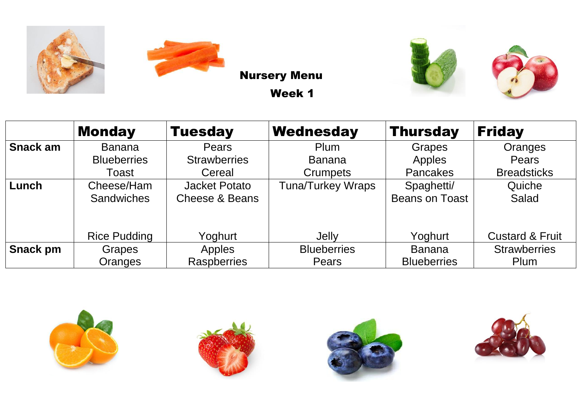





|                 | <b>Monday</b>       | <b>Tuesday</b>            | Wednesday                | <b>Thursday</b>       | <b>Friday</b>              |
|-----------------|---------------------|---------------------------|--------------------------|-----------------------|----------------------------|
| Snack am        | <b>Banana</b>       | <b>Pears</b>              | <b>Plum</b>              | Grapes                | Oranges                    |
|                 | <b>Blueberries</b>  | <b>Strawberries</b>       | <b>Banana</b>            | Apples                | Pears                      |
|                 | Toast               | Cereal                    | <b>Crumpets</b>          | <b>Pancakes</b>       | <b>Breadsticks</b>         |
| Lunch           | Cheese/Ham          | <b>Jacket Potato</b>      | <b>Tuna/Turkey Wraps</b> | Spaghetti/            | Quiche                     |
|                 | <b>Sandwiches</b>   | <b>Cheese &amp; Beans</b> |                          | <b>Beans on Toast</b> | Salad                      |
|                 |                     |                           |                          |                       |                            |
|                 | <b>Rice Pudding</b> | Yoghurt                   | Jelly                    | Yoghurt               | <b>Custard &amp; Fruit</b> |
| <b>Snack pm</b> | Grapes              | Apples                    | <b>Blueberries</b>       | <b>Banana</b>         | <b>Strawberries</b>        |
|                 | Oranges             | <b>Raspberries</b>        | Pears                    | <b>Blueberries</b>    | Plum                       |







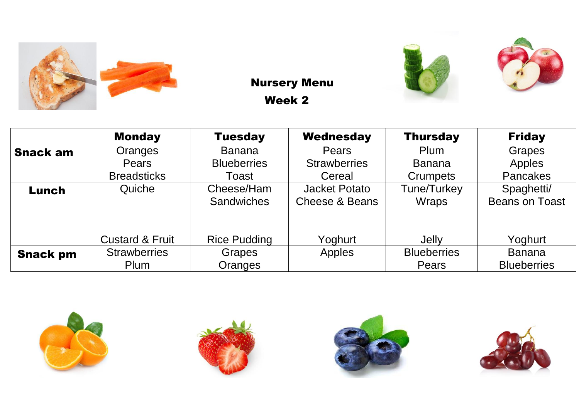











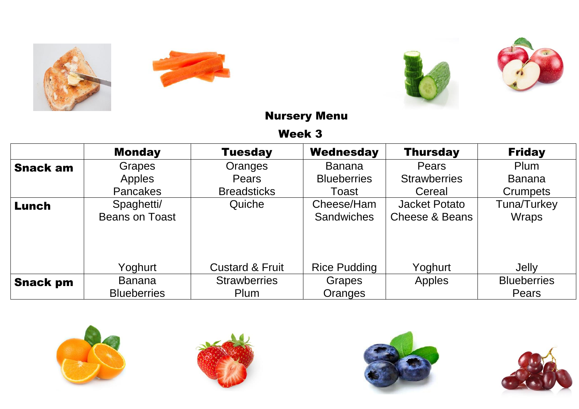





|                 | <b>Monday</b>         | <b>Tuesday</b>             | <b>Wednesday</b>    | <b>Thursday</b>      | <b>Friday</b>      |
|-----------------|-----------------------|----------------------------|---------------------|----------------------|--------------------|
| <b>Snack am</b> | <b>Grapes</b>         | Oranges                    | <b>Banana</b>       | Pears                | Plum               |
|                 | <b>Apples</b>         | Pears                      | <b>Blueberries</b>  | <b>Strawberries</b>  | <b>Banana</b>      |
|                 | <b>Pancakes</b>       | <b>Breadsticks</b>         | Toast               | Cereal               | Crumpets           |
| Lunch           | Spaghetti/            | Quiche                     | Cheese/Ham          | <b>Jacket Potato</b> | Tuna/Turkey        |
|                 | <b>Beans on Toast</b> |                            | <b>Sandwiches</b>   | Cheese & Beans       | <b>Wraps</b>       |
|                 |                       |                            |                     |                      |                    |
|                 | Yoghurt               | <b>Custard &amp; Fruit</b> | <b>Rice Pudding</b> | Yoghurt              | Jelly              |
| <b>Snack pm</b> | <b>Banana</b>         | <b>Strawberries</b>        | Grapes              | Apples               | <b>Blueberries</b> |
|                 | <b>Blueberries</b>    | Plum                       | Oranges             |                      | Pears              |







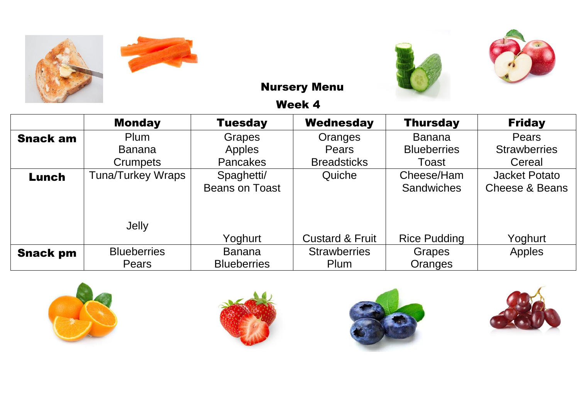







|                 | <b>Monday</b>            | <b>Tuesday</b>        | <b>Wednesday</b>           | <b>Thursday</b>     | <b>Friday</b>        |
|-----------------|--------------------------|-----------------------|----------------------------|---------------------|----------------------|
| <b>Snack am</b> | Plum                     | <b>Grapes</b>         | Oranges                    | <b>Banana</b>       | <b>Pears</b>         |
|                 | <b>Banana</b>            | Apples                | Pears                      | <b>Blueberries</b>  | <b>Strawberries</b>  |
|                 | <b>Crumpets</b>          | <b>Pancakes</b>       | <b>Breadsticks</b>         | Toast               | Cereal               |
| Lunch           | <b>Tuna/Turkey Wraps</b> | Spaghetti/            | Quiche                     | Cheese/Ham          | <b>Jacket Potato</b> |
|                 |                          | <b>Beans on Toast</b> |                            | <b>Sandwiches</b>   | Cheese & Beans       |
|                 |                          |                       |                            |                     |                      |
|                 | Jelly                    |                       |                            |                     |                      |
|                 |                          | Yoghurt               | <b>Custard &amp; Fruit</b> | <b>Rice Pudding</b> | Yoghurt              |
| <b>Snack pm</b> | <b>Blueberries</b>       | <b>Banana</b>         | <b>Strawberries</b>        | Grapes              | Apples               |
|                 | Pears                    | <b>Blueberries</b>    | Plum                       | Oranges             |                      |